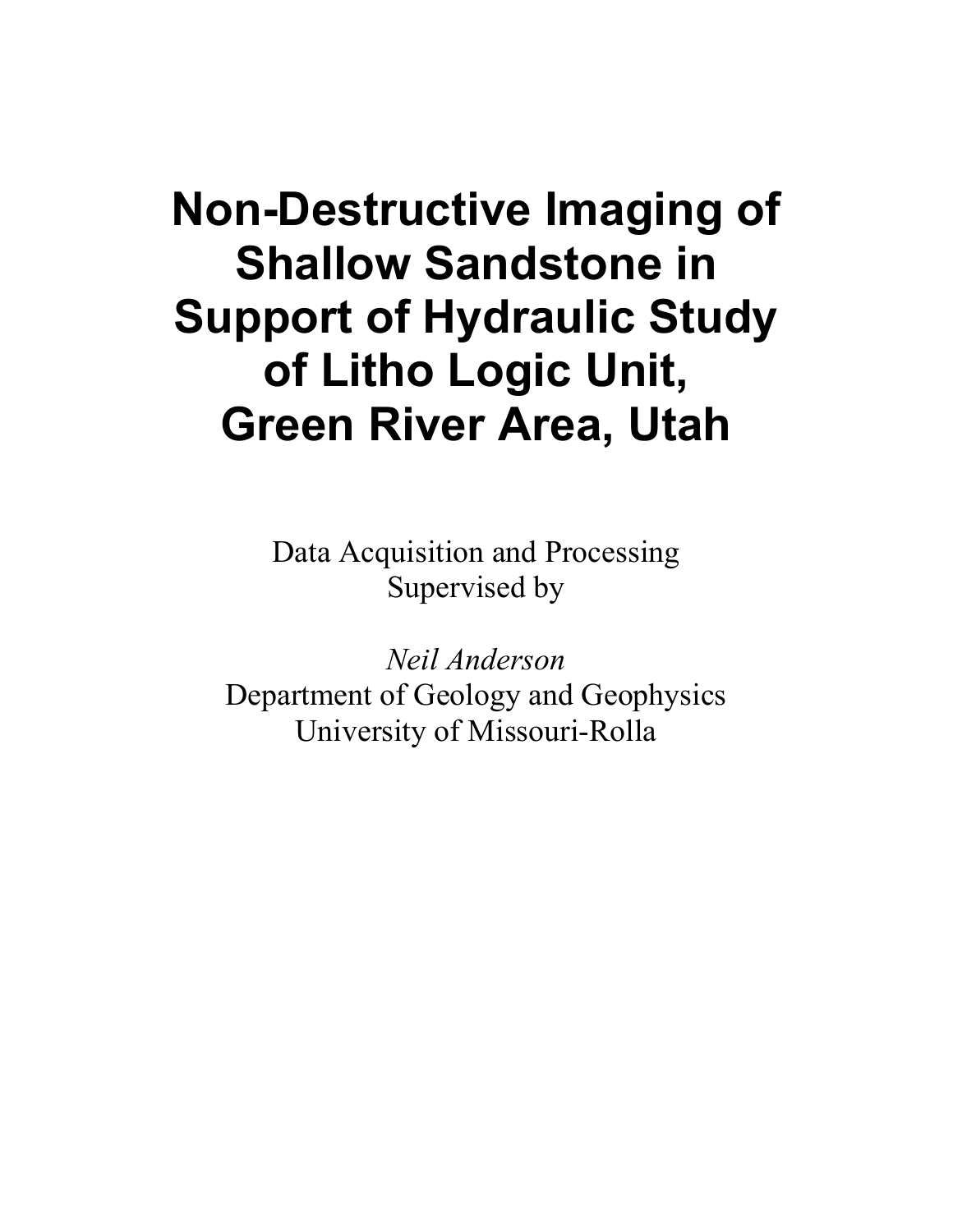# **Non-Destructive Imaging of Shallow Sandstone in Support of Hydraulic Study of Litho Logic Unit, Green River Area, Utah**

Data Acquisition and Processing Supervised by

*Neil Anderson*  Department of Geology and Geophysics University of Missouri-Rolla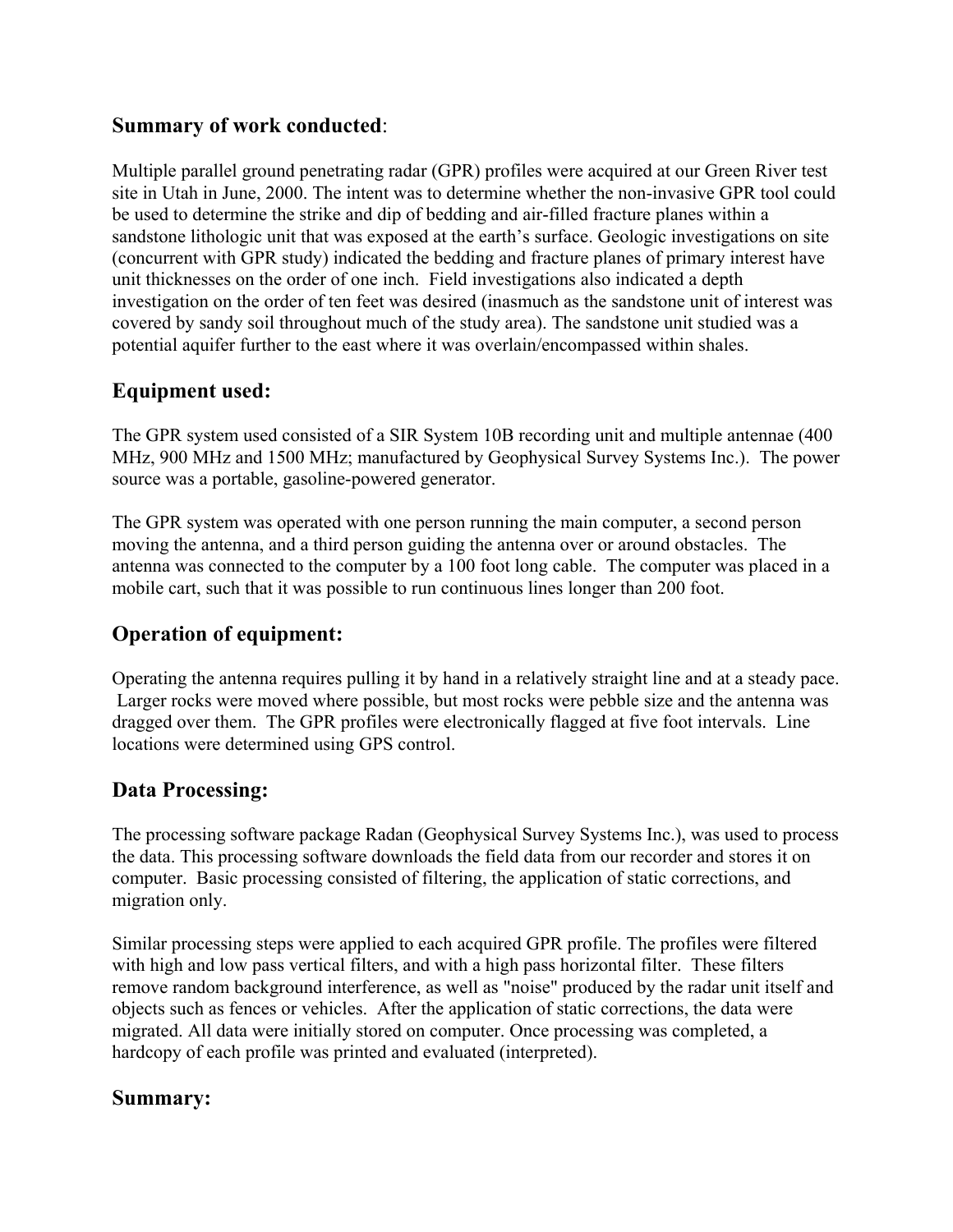### **Summary of work conducted**:

Multiple parallel ground penetrating radar (GPR) profiles were acquired at our Green River test site in Utah in June, 2000. The intent was to determine whether the non-invasive GPR tool could be used to determine the strike and dip of bedding and air-filled fracture planes within a sandstone lithologic unit that was exposed at the earth's surface. Geologic investigations on site (concurrent with GPR study) indicated the bedding and fracture planes of primary interest have unit thicknesses on the order of one inch. Field investigations also indicated a depth investigation on the order of ten feet was desired (inasmuch as the sandstone unit of interest was covered by sandy soil throughout much of the study area). The sandstone unit studied was a potential aquifer further to the east where it was overlain/encompassed within shales.

### **Equipment used:**

The GPR system used consisted of a SIR System 10B recording unit and multiple antennae (400 MHz, 900 MHz and 1500 MHz; manufactured by Geophysical Survey Systems Inc.). The power source was a portable, gasoline-powered generator.

The GPR system was operated with one person running the main computer, a second person moving the antenna, and a third person guiding the antenna over or around obstacles. The antenna was connected to the computer by a 100 foot long cable. The computer was placed in a mobile cart, such that it was possible to run continuous lines longer than 200 foot.

# **Operation of equipment:**

Operating the antenna requires pulling it by hand in a relatively straight line and at a steady pace. Larger rocks were moved where possible, but most rocks were pebble size and the antenna was dragged over them. The GPR profiles were electronically flagged at five foot intervals. Line locations were determined using GPS control.

# **Data Processing:**

The processing software package Radan (Geophysical Survey Systems Inc.), was used to process the data. This processing software downloads the field data from our recorder and stores it on computer. Basic processing consisted of filtering, the application of static corrections, and migration only.

Similar processing steps were applied to each acquired GPR profile. The profiles were filtered with high and low pass vertical filters, and with a high pass horizontal filter. These filters remove random background interference, as well as "noise" produced by the radar unit itself and objects such as fences or vehicles. After the application of static corrections, the data were migrated. All data were initially stored on computer. Once processing was completed, a hardcopy of each profile was printed and evaluated (interpreted).

#### **Summary:**